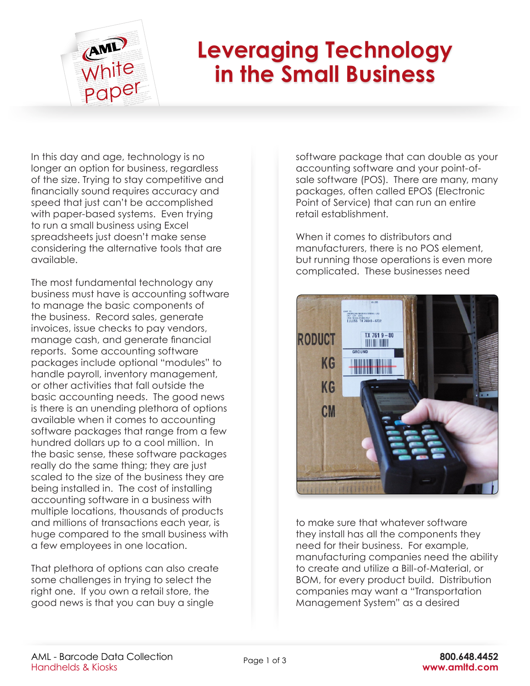

## **Leveraging Technology in the Small Business**

In this day and age, technology is no longer an option for business, regardless of the size. Trying to stay competitive and financially sound requires accuracy and speed that just can't be accomplished with paper-based systems. Even trying to run a small business using Excel spreadsheets just doesn't make sense considering the alternative tools that are available.

The most fundamental technology any business must have is accounting software to manage the basic components of the business. Record sales, generate invoices, issue checks to pay vendors, manage cash, and generate financial reports. Some accounting software packages include optional "modules" to handle payroll, inventory management, or other activities that fall outside the basic accounting needs. The good news is there is an unending plethora of options available when it comes to accounting software packages that range from a few hundred dollars up to a cool million. In the basic sense, these software packages really do the same thing; they are just scaled to the size of the business they are being installed in. The cost of installing accounting software in a business with multiple locations, thousands of products and millions of transactions each year, is huge compared to the small business with a few employees in one location.

That plethora of options can also create some challenges in trying to select the right one. If you own a retail store, the good news is that you can buy a single

software package that can double as your accounting software and your point-ofsale software (POS). There are many, many packages, often called EPOS (Electronic Point of Service) that can run an entire retail establishment.

When it comes to distributors and manufacturers, there is no POS element, but running those operations is even more complicated. These businesses need



to make sure that whatever software they install has all the components they need for their business. For example, manufacturing companies need the ability to create and utilize a Bill-of-Material, or BOM, for every product build. Distribution companies may want a "Transportation Management System" as a desired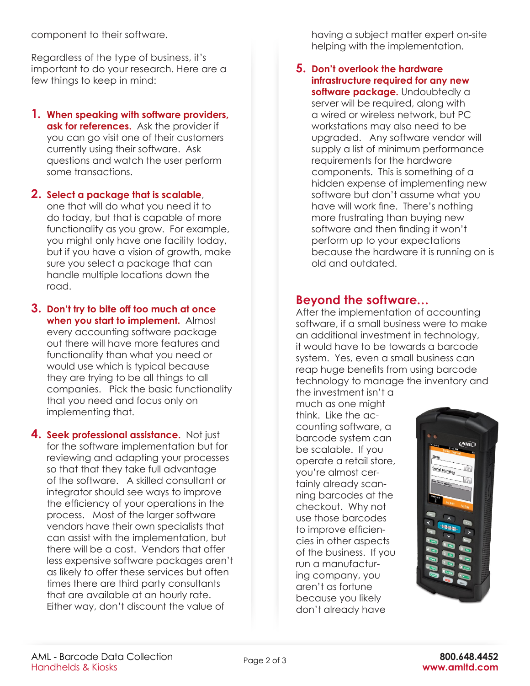component to their software.

Regardless of the type of business, it's important to do your research. Here are a few things to keep in mind:

- **1. When speaking with software providers, ask for references.** Ask the provider if you can go visit one of their customers currently using their software. Ask questions and watch the user perform some transactions.
- **2. Select a package that is scalable**, one that will do what you need it to do today, but that is capable of more functionality as you grow. For example, you might only have one facility today, but if you have a vision of growth, make sure you select a package that can handle multiple locations down the road.
- **3. Don't try to bite off too much at once when you start to implement.** Almost every accounting software package out there will have more features and functionality than what you need or would use which is typical because they are trying to be all things to all companies. Pick the basic functionality that you need and focus only on implementing that.
- **4. Seek professional assistance.** Not just for the software implementation but for reviewing and adapting your processes so that that they take full advantage of the software. A skilled consultant or integrator should see ways to improve the efficiency of your operations in the process. Most of the larger software vendors have their own specialists that can assist with the implementation, but there will be a cost. Vendors that offer less expensive software packages aren't as likely to offer these services but often times there are third party consultants that are available at an hourly rate. Either way, don't discount the value of

having a subject matter expert on-site helping with the implementation.

**5. Don't overlook the hardware infrastructure required for any new**  software package. Undoubtedly a server will be required, along with a wired or wireless network, but PC workstations may also need to be upgraded. Any software vendor will supply a list of minimum performance requirements for the hardware components. This is something of a hidden expense of implementing new software but don't assume what you have will work fine. There's nothing more frustrating than buying new software and then finding it won't perform up to your expectations because the hardware it is running on is old and outdated.

## **Beyond the software…**

After the implementation of accounting software, if a small business were to make an additional investment in technology, it would have to be towards a barcode system. Yes, even a small business can reap huge benefits from using barcode technology to manage the inventory and

the investment isn't a much as one might think. Like the accounting software, a barcode system can be scalable. If you operate a retail store, you're almost certainly already scanning barcodes at the checkout. Why not use those barcodes to improve efficiencies in other aspects of the business. If you run a manufacturing company, you aren't as fortune because you likely don't already have